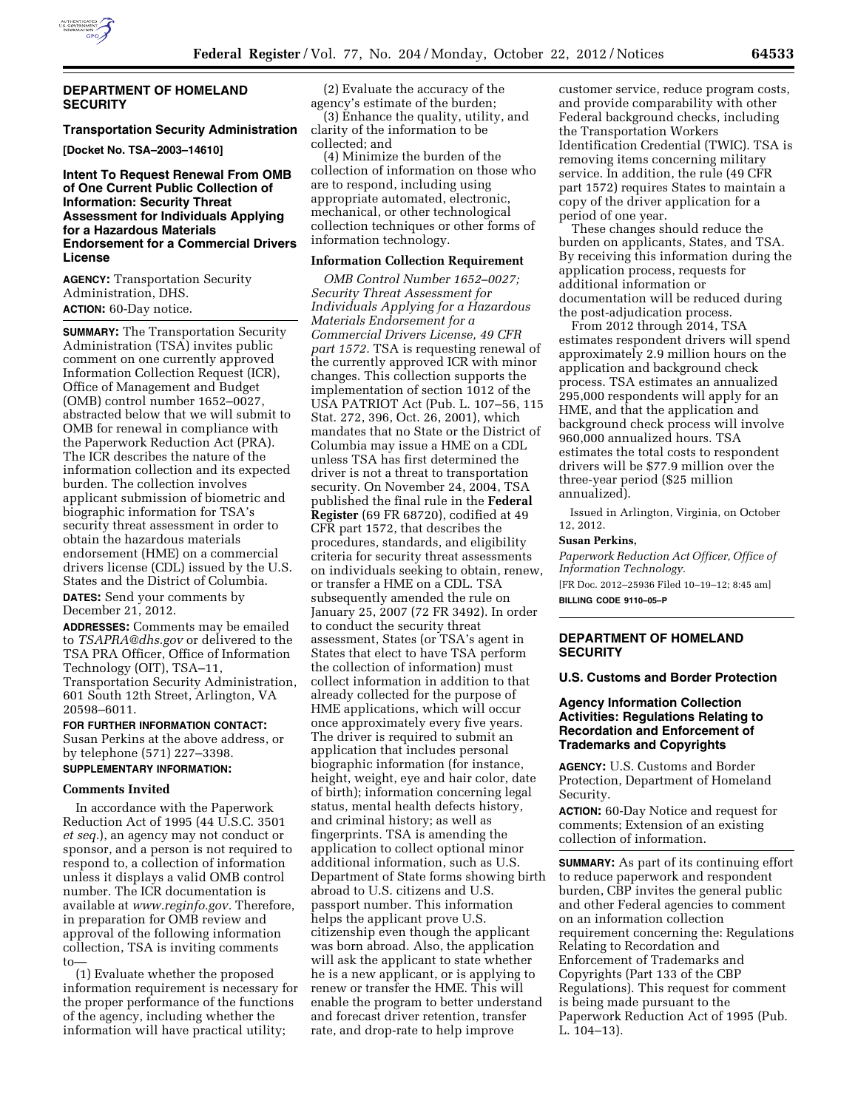

## **Transportation Security Administration**

**[Docket No. TSA–2003–14610]** 

# **Intent To Request Renewal From OMB of One Current Public Collection of Information: Security Threat Assessment for Individuals Applying for a Hazardous Materials Endorsement for a Commercial Drivers License**

**AGENCY:** Transportation Security Administration, DHS. **ACTION:** 60-Day notice.

**SUMMARY:** The Transportation Security Administration (TSA) invites public comment on one currently approved Information Collection Request (ICR), Office of Management and Budget (OMB) control number 1652–0027, abstracted below that we will submit to OMB for renewal in compliance with the Paperwork Reduction Act (PRA). The ICR describes the nature of the information collection and its expected burden. The collection involves applicant submission of biometric and biographic information for TSA's security threat assessment in order to obtain the hazardous materials endorsement (HME) on a commercial drivers license (CDL) issued by the U.S. States and the District of Columbia.

**DATES:** Send your comments by December 21, 2012.

**ADDRESSES:** Comments may be emailed to *[TSAPRA@dhs.gov](mailto:TSAPRA@dhs.gov)* or delivered to the TSA PRA Officer, Office of Information Technology (OIT), TSA–11, Transportation Security Administration, 601 South 12th Street, Arlington, VA 20598–6011.

**FOR FURTHER INFORMATION CONTACT:**  Susan Perkins at the above address, or by telephone (571) 227–3398. **SUPPLEMENTARY INFORMATION:** 

#### **Comments Invited**

In accordance with the Paperwork Reduction Act of 1995 (44 U.S.C. 3501 *et seq.*), an agency may not conduct or sponsor, and a person is not required to respond to, a collection of information unless it displays a valid OMB control number. The ICR documentation is available at *[www.reginfo.gov.](http://www.reginfo.gov)* Therefore, in preparation for OMB review and approval of the following information collection, TSA is inviting comments to—

(1) Evaluate whether the proposed information requirement is necessary for the proper performance of the functions of the agency, including whether the information will have practical utility;

(2) Evaluate the accuracy of the agency's estimate of the burden;

(3) Enhance the quality, utility, and clarity of the information to be collected; and

(4) Minimize the burden of the collection of information on those who are to respond, including using appropriate automated, electronic, mechanical, or other technological collection techniques or other forms of information technology.

## **Information Collection Requirement**

*OMB Control Number 1652–0027; Security Threat Assessment for Individuals Applying for a Hazardous Materials Endorsement for a Commercial Drivers License, 49 CFR part 1572.* TSA is requesting renewal of the currently approved ICR with minor changes. This collection supports the implementation of section 1012 of the USA PATRIOT Act (Pub. L. 107–56, 115 Stat. 272, 396, Oct. 26, 2001), which mandates that no State or the District of Columbia may issue a HME on a CDL unless TSA has first determined the driver is not a threat to transportation security. On November 24, 2004, TSA published the final rule in the **Federal Register** (69 FR 68720), codified at 49 CFR part 1572, that describes the procedures, standards, and eligibility criteria for security threat assessments on individuals seeking to obtain, renew, or transfer a HME on a CDL. TSA subsequently amended the rule on January 25, 2007 (72 FR 3492). In order to conduct the security threat assessment, States (or TSA's agent in States that elect to have TSA perform the collection of information) must collect information in addition to that already collected for the purpose of HME applications, which will occur once approximately every five years. The driver is required to submit an application that includes personal biographic information (for instance, height, weight, eye and hair color, date of birth); information concerning legal status, mental health defects history, and criminal history; as well as fingerprints. TSA is amending the application to collect optional minor additional information, such as U.S. Department of State forms showing birth abroad to U.S. citizens and U.S. passport number. This information helps the applicant prove U.S. citizenship even though the applicant was born abroad. Also, the application will ask the applicant to state whether he is a new applicant, or is applying to renew or transfer the HME. This will enable the program to better understand and forecast driver retention, transfer rate, and drop-rate to help improve

customer service, reduce program costs, and provide comparability with other Federal background checks, including the Transportation Workers Identification Credential (TWIC). TSA is removing items concerning military service. In addition, the rule (49 CFR part 1572) requires States to maintain a copy of the driver application for a period of one year.

These changes should reduce the burden on applicants, States, and TSA. By receiving this information during the application process, requests for additional information or documentation will be reduced during the post-adjudication process.

From 2012 through 2014, TSA estimates respondent drivers will spend approximately 2.9 million hours on the application and background check process. TSA estimates an annualized 295,000 respondents will apply for an HME, and that the application and background check process will involve 960,000 annualized hours. TSA estimates the total costs to respondent drivers will be \$77.9 million over the three-year period (\$25 million annualized).

Issued in Arlington, Virginia, on October 12, 2012.

#### **Susan Perkins,**

*Paperwork Reduction Act Officer, Office of Information Technology.* 

[FR Doc. 2012–25936 Filed 10–19–12; 8:45 am] **BILLING CODE 9110–05–P** 

### **DEPARTMENT OF HOMELAND SECURITY**

## **U.S. Customs and Border Protection**

# **Agency Information Collection Activities: Regulations Relating to Recordation and Enforcement of Trademarks and Copyrights**

**AGENCY:** U.S. Customs and Border Protection, Department of Homeland Security.

**ACTION:** 60-Day Notice and request for comments; Extension of an existing collection of information.

**SUMMARY:** As part of its continuing effort to reduce paperwork and respondent burden, CBP invites the general public and other Federal agencies to comment on an information collection requirement concerning the: Regulations Relating to Recordation and Enforcement of Trademarks and Copyrights (Part 133 of the CBP Regulations). This request for comment is being made pursuant to the Paperwork Reduction Act of 1995 (Pub. L. 104–13).